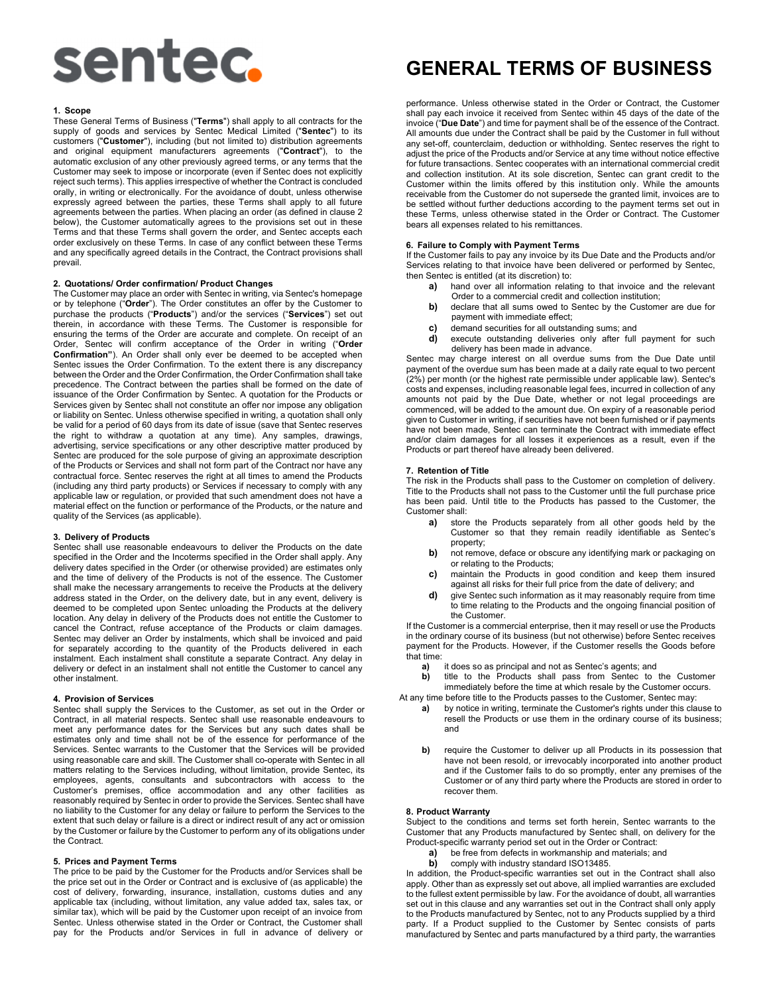# sentec.

#### **1. Scope**

These General Terms of Business ("**Terms**") shall apply to all contracts for the supply of goods and services by Sentec Medical Limited ("**Sentec**") to its customers ("**Customer**"), including (but not limited to) distribution agreements and original equipment manufacturers agreements ("**Contract**"), to the automatic exclusion of any other previously agreed terms, or any terms that the Customer may seek to impose or incorporate (even if Sentec does not explicitly reject such terms). This applies irrespective of whether the Contract is concluded orally, in writing or electronically. For the avoidance of doubt, unless otherwise expressly agreed between the parties, these Terms shall apply to all future agreements between the parties. When placing an order (as defined in clause 2 below), the Customer automatically agrees to the provisions set out in these Terms and that these Terms shall govern the order, and Sentec accepts each order exclusively on these Terms. In case of any conflict between these Terms and any specifically agreed details in the Contract, the Contract provisions shall prevail.

#### **2. Quotations/ Order confirmation/ Product Changes**

The Customer may place an order with Sentec in writing, via Sentec's homepage or by telephone ("**Order**"). The Order constitutes an offer by the Customer to purchase the products ("**Products**") and/or the services ("**Services**") set out therein, in accordance with these Terms. The Customer is responsible for ensuring the terms of the Order are accurate and complete. On receipt of an Order, Sentec will confirm acceptance of the Order in writing ("**Order Confirmation"**). An Order shall only ever be deemed to be accepted when Sentec issues the Order Confirmation. To the extent there is any discrepancy between the Order and the Order Confirmation, the Order Confirmation shall take precedence. The Contract between the parties shall be formed on the date of issuance of the Order Confirmation by Sentec. A quotation for the Products or Services given by Sentec shall not constitute an offer nor impose any obligation or liability on Sentec. Unless otherwise specified in writing, a quotation shall only be valid for a period of 60 days from its date of issue (save that Sentec reserves the right to withdraw a quotation at any time). Any samples, drawings, advertising, service specifications or any other descriptive matter produced by Sentec are produced for the sole purpose of giving an approximate description of the Products or Services and shall not form part of the Contract nor have any contractual force. Sentec reserves the right at all times to amend the Products (including any third party products) or Services if necessary to comply with any applicable law or regulation, or provided that such amendment does not have a material effect on the function or performance of the Products, or the nature and quality of the Services (as applicable).

#### **3. Delivery of Products**

Sentec shall use reasonable endeavours to deliver the Products on the date specified in the Order and the Incoterms specified in the Order shall apply. Any delivery dates specified in the Order (or otherwise provided) are estimates only and the time of delivery of the Products is not of the essence. The Customer shall make the necessary arrangements to receive the Products at the delivery address stated in the Order, on the delivery date, but in any event, delivery is deemed to be completed upon Sentec unloading the Products at the delivery location. Any delay in delivery of the Products does not entitle the Customer to cancel the Contract, refuse acceptance of the Products or claim damages. Sentec may deliver an Order by instalments, which shall be invoiced and paid for separately according to the quantity of the Products delivered in each instalment. Each instalment shall constitute a separate Contract. Any delay in delivery or defect in an instalment shall not entitle the Customer to cancel any other instalment.

#### **4. Provision of Services**

Sentec shall supply the Services to the Customer, as set out in the Order or Contract, in all material respects. Sentec shall use reasonable endeavours to meet any performance dates for the Services but any such dates shall be estimates only and time shall not be of the essence for performance of the Services. Sentec warrants to the Customer that the Services will be provided using reasonable care and skill. The Customer shall co-operate with Sentec in all matters relating to the Services including, without limitation, provide Sentec, its employees, agents, consultants and subcontractors with access to the Customer's premises, office accommodation and any other facilities as reasonably required by Sentec in order to provide the Services. Sentec shall have no liability to the Customer for any delay or failure to perform the Services to the extent that such delay or failure is a direct or indirect result of any act or omission by the Customer or failure by the Customer to perform any of its obligations under the Contract.

#### **5. Prices and Payment Terms**

The price to be paid by the Customer for the Products and/or Services shall be the price set out in the Order or Contract and is exclusive of (as applicable) the cost of delivery, forwarding, insurance, installation, customs duties and any applicable tax (including, without limitation, any value added tax, sales tax, or similar tax), which will be paid by the Customer upon receipt of an invoice from Sentec. Unless otherwise stated in the Order or Contract, the Customer shall pay for the Products and/or Services in full in advance of delivery or

### **GENERAL TERMS OF BUSINESS**

performance. Unless otherwise stated in the Order or Contract, the Customer shall pay each invoice it received from Sentec within 45 days of the date of the invoice ("**Due Date**") and time for payment shall be of the essence of the Contract. All amounts due under the Contract shall be paid by the Customer in full without any set-off, counterclaim, deduction or withholding. Sentec reserves the right to adjust the price of the Products and/or Service at any time without notice effective for future transactions. Sentec cooperates with an international commercial credit and collection institution. At its sole discretion, Sentec can grant credit to the Customer within the limits offered by this institution only. While the amounts receivable from the Customer do not supersede the granted limit, invoices are to be settled without further deductions according to the payment terms set out in these Terms, unless otherwise stated in the Order or Contract. The Customer bears all expenses related to his remittances.

#### **6. Failure to Comply with Payment Terms**

If the Customer fails to pay any invoice by its Due Date and the Products and/or Services relating to that invoice have been delivered or performed by Sentec, then Sentec is entitled (at its discretion) to:

- **a)** hand over all information relating to that invoice and the relevant
- Order to a commercial credit and collection institution;
- **b)** declare that all sums owed to Sentec by the Customer are due for payment with immediate effect;
- 
- **c)** demand securities for all outstanding sums; and **d)** execute outstanding deliveries only after full execute outstanding deliveries only after full payment for such delivery has been made in advance.

Sentec may charge interest on all overdue sums from the Due Date until payment of the overdue sum has been made at a daily rate equal to two percent (2%) per month (or the highest rate permissible under applicable law). Sentec's costs and expenses, including reasonable legal fees, incurred in collection of any amounts not paid by the Due Date, whether or not legal proceedings are commenced, will be added to the amount due. On expiry of a reasonable period given to Customer in writing, if securities have not been furnished or if payments have not been made, Sentec can terminate the Contract with immediate effect and/or claim damages for all losses it experiences as a result, even if the Products or part thereof have already been delivered.

#### **7. Retention of Title**

The risk in the Products shall pass to the Customer on completion of delivery. Title to the Products shall not pass to the Customer until the full purchase price has been paid. Until title to the Products has passed to the Customer, the Customer shall:

- **a)** store the Products separately from all other goods held by the Customer so that they remain readily identifiable as Sentec's property;
- **b)** not remove, deface or obscure any identifying mark or packaging on or relating to the Products;
- **c)** maintain the Products in good condition and keep them insured against all risks for their full price from the date of delivery; and
- **d)** give Sentec such information as it may reasonably require from time to time relating to the Products and the ongoing financial position of the Customer.

If the Customer is a commercial enterprise, then it may resell or use the Products in the ordinary course of its business (but not otherwise) before Sentec receives payment for the Products. However, if the Customer resells the Goods before that time:

- 
- **a)** it does so as principal and not as Sentec's agents; and **b)** title to the Products shall pass from Sentec to **b)** title to the Products shall pass from Sentec to the Customer immediately before the time at which resale by the Customer occurs.
- At any time before title to the Products passes to the Customer, Sentec may:
	- **a)** by notice in writing, terminate the Customer's rights under this clause to resell the Products or use them in the ordinary course of its business; and
	- **b)** require the Customer to deliver up all Products in its possession that have not been resold, or irrevocably incorporated into another product and if the Customer fails to do so promptly, enter any premises of the Customer or of any third party where the Products are stored in order to recover them.

#### **8. Product Warranty**

Subject to the conditions and terms set forth herein, Sentec warrants to the Customer that any Products manufactured by Sentec shall, on delivery for the Product-specific warranty period set out in the Order or Contract:

- **a)** be free from defects in workmanship and materials; and
- **b)** comply with industry standard ISO13485.

In addition, the Product-specific warranties set out in the Contract shall also apply. Other than as expressly set out above, all implied warranties are excluded to the fullest extent permissible by law. For the avoidance of doubt, all warranties set out in this clause and any warranties set out in the Contract shall only apply to the Products manufactured by Sentec, not to any Products supplied by a third party. If a Product supplied to the Customer by Sentec consists of parts manufactured by Sentec and parts manufactured by a third party, the warranties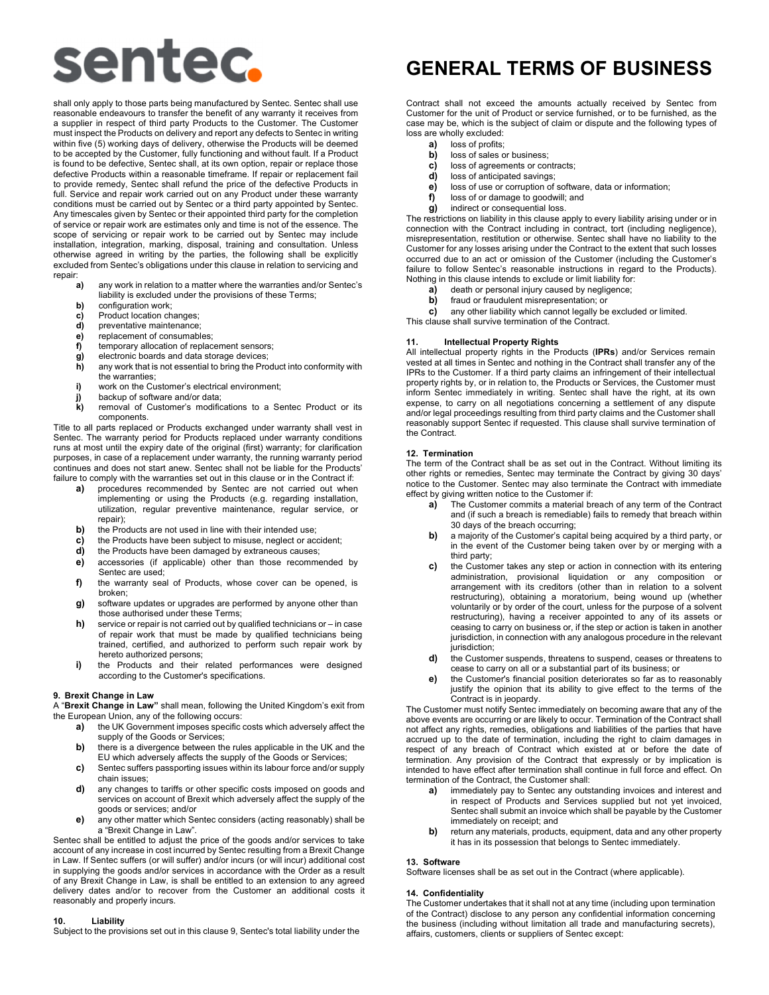# sentec.

shall only apply to those parts being manufactured by Sentec. Sentec shall use reasonable endeavours to transfer the benefit of any warranty it receives from a supplier in respect of third party Products to the Customer. The Customer must inspect the Products on delivery and report any defects to Sentec in writing within five (5) working days of delivery, otherwise the Products will be deemed to be accepted by the Customer, fully functioning and without fault. If a Product is found to be defective, Sentec shall, at its own option, repair or replace those defective Products within a reasonable timeframe. If repair or replacement fail to provide remedy, Sentec shall refund the price of the defective Products in full. Service and repair work carried out on any Product under these warranty conditions must be carried out by Sentec or a third party appointed by Sentec. Any timescales given by Sentec or their appointed third party for the completion of service or repair work are estimates only and time is not of the essence. The scope of servicing or repair work to be carried out by Sentec may include installation, integration, marking, disposal, training and consultation. Unless otherwise agreed in writing by the parties, the following shall be explicitly excluded from Sentec's obligations under this clause in relation to servicing and repair:

- **a)** any work in relation to a matter where the warranties and/or Sentec's liability is excluded under the provisions of these Terms;
- **b)** configuration work;<br>**c)** Product location ch
- **c)** Product location changes;<br>**d)** preventative maintenance
- preventative maintenance;
- **e)** replacement of consumables;
- **f)** temporary allocation of replacement sensors;
- **g)** electronic boards and data storage devices;
- **h)** any work that is not essential to bring the Product into conformity with the warranties;
- **i)** work on the Customer's electrical environment;
- 
- **j)** backup of software and/or data;<br>**k)** removal of Customer's modific removal of Customer's modifications to a Sentec Product or its components.

Title to all parts replaced or Products exchanged under warranty shall vest in Sentec. The warranty period for Products replaced under warranty conditions runs at most until the expiry date of the original (first) warranty; for clarification purposes, in case of a replacement under warranty, the running warranty period continues and does not start anew. Sentec shall not be liable for the Products' failure to comply with the warranties set out in this clause or in the Contract if:

- **a)** procedures recommended by Sentec are not carried out when implementing or using the Products (e.g. regarding installation, utilization, regular preventive maintenance, regular service, or repair);
- **b)** the Products are not used in line with their intended use;
- **c)** the Products have been subject to misuse, neglect or accident;<br>**d)** the Products have been damaged by extraneous causes;
- **d)** the Products have been damaged by extraneous causes;
- **e)** accessories (if applicable) other than those recommended by Sentec are used;
- **f)** the warranty seal of Products, whose cover can be opened, is broken;
- **g)** software updates or upgrades are performed by anyone other than those authorised under these Terms;
- **h)** service or repair is not carried out by qualified technicians or in case of repair work that must be made by qualified technicians being trained, certified, and authorized to perform such repair work by hereto authorized persons;
- **i)** the Products and their related performances were designed according to the Customer's specifications.

#### **9. Brexit Change in Law**

A "**Brexit Change in Law"** shall mean, following the United Kingdom's exit from the European Union, any of the following occurs:

- **a)** the UK Government imposes specific costs which adversely affect the supply of the Goods or Services;
- **b)** there is a divergence between the rules applicable in the UK and the EU which adversely affects the supply of the Goods or Services;
- **c)** Sentec suffers passporting issues within its labour force and/or supply chain issues;
- **d)** any changes to tariffs or other specific costs imposed on goods and services on account of Brexit which adversely affect the supply of the goods or services; and/or
- **e)** any other matter which Sentec considers (acting reasonably) shall be a "Brexit Change in Law".

Sentec shall be entitled to adjust the price of the goods and/or services to take account of any increase in cost incurred by Sentec resulting from a Brexit Change in Law. If Sentec suffers (or will suffer) and/or incurs (or will incur) additional cost in supplying the goods and/or services in accordance with the Order as a result of any Brexit Change in Law, is shall be entitled to an extension to any agreed delivery dates and/or to recover from the Customer an additional costs it reasonably and properly incurs.

#### **10. Liability**

Subject to the provisions set out in this clause 9, Sentec's total liability under the

### **GENERAL TERMS OF BUSINESS**

Contract shall not exceed the amounts actually received by Sentec from Customer for the unit of Product or service furnished, or to be furnished, as the case may be, which is the subject of claim or dispute and the following types of loss are wholly excluded:

- **a)** loss of profits;
- **b)** loss of sales or business;
- **c)** loss of agreements or contracts;<br>**d)** loss of anticipated savings:
- loss of anticipated savings;
- **e)** loss of use or corruption of software, data or information;
- **f)** loss of or damage to goodwill; and
- **g)** indirect or consequential loss.

The restrictions on liability in this clause apply to every liability arising under or in connection with the Contract including in contract, tort (including negligence), misrepresentation, restitution or otherwise. Sentec shall have no liability to the Customer for any losses arising under the Contract to the extent that such losses occurred due to an act or omission of the Customer (including the Customer's failure to follow Sentec's reasonable instructions in regard to the Products). Nothing in this clause intends to exclude or limit liability for:

- **a)** death or personal injury caused by negligence;
- **b)** fraud or fraudulent misrepresentation; or
- 

**c)** any other liability which cannot legally be excluded or limited. This clause shall survive termination of the Contract.

#### **11. Intellectual Property Rights**

All intellectual property rights in the Products (**IPRs**) and/or Services remain vested at all times in Sentec and nothing in the Contract shall transfer any of the IPRs to the Customer. If a third party claims an infringement of their intellectual property rights by, or in relation to, the Products or Services, the Customer must inform Sentec immediately in writing. Sentec shall have the right, at its own expense, to carry on all negotiations concerning a settlement of any dispute and/or legal proceedings resulting from third party claims and the Customer shall reasonably support Sentec if requested. This clause shall survive termination of the Contract.

#### **12. Termination**

The term of the Contract shall be as set out in the Contract. Without limiting its other rights or remedies, Sentec may terminate the Contract by giving 30 days' notice to the Customer. Sentec may also terminate the Contract with immediate effect by giving written notice to the Customer if:

- **a)** The Customer commits a material breach of any term of the Contract and (if such a breach is remediable) fails to remedy that breach within 30 days of the breach occurring;
- **b)** a majority of the Customer's capital being acquired by a third party, or in the event of the Customer being taken over by or merging with a third party;
- **c)** the Customer takes any step or action in connection with its entering administration, provisional liquidation or any composition or arrangement with its creditors (other than in relation to a solvent restructuring), obtaining a moratorium, being wound up (whether voluntarily or by order of the court, unless for the purpose of a solvent restructuring), having a receiver appointed to any of its assets or ceasing to carry on business or, if the step or action is taken in another jurisdiction, in connection with any analogous procedure in the relevant jurisdiction:
- **d)** the Customer suspends, threatens to suspend, ceases or threatens to cease to carry on all or a substantial part of its business; or
- **e)** the Customer's financial position deteriorates so far as to reasonably justify the opinion that its ability to give effect to the terms of the Contract is in jeopardy.

The Customer must notify Sentec immediately on becoming aware that any of the above events are occurring or are likely to occur. Termination of the Contract shall not affect any rights, remedies, obligations and liabilities of the parties that have accrued up to the date of termination, including the right to claim damages in respect of any breach of Contract which existed at or before the date of termination. Any provision of the Contract that expressly or by implication is intended to have effect after termination shall continue in full force and effect. On termination of the Contract, the Customer shall:

- **a)** immediately pay to Sentec any outstanding invoices and interest and in respect of Products and Services supplied but not yet invoiced, Sentec shall submit an invoice which shall be payable by the Customer immediately on receipt; and
- **b)** return any materials, products, equipment, data and any other property it has in its possession that belongs to Sentec immediately.

#### **13. Software**

Software licenses shall be as set out in the Contract (where applicable).

#### **14. Confidentiality**

The Customer undertakes that it shall not at any time (including upon termination of the Contract) disclose to any person any confidential information concerning the business (including without limitation all trade and manufacturing secrets), affairs, customers, clients or suppliers of Sentec except: